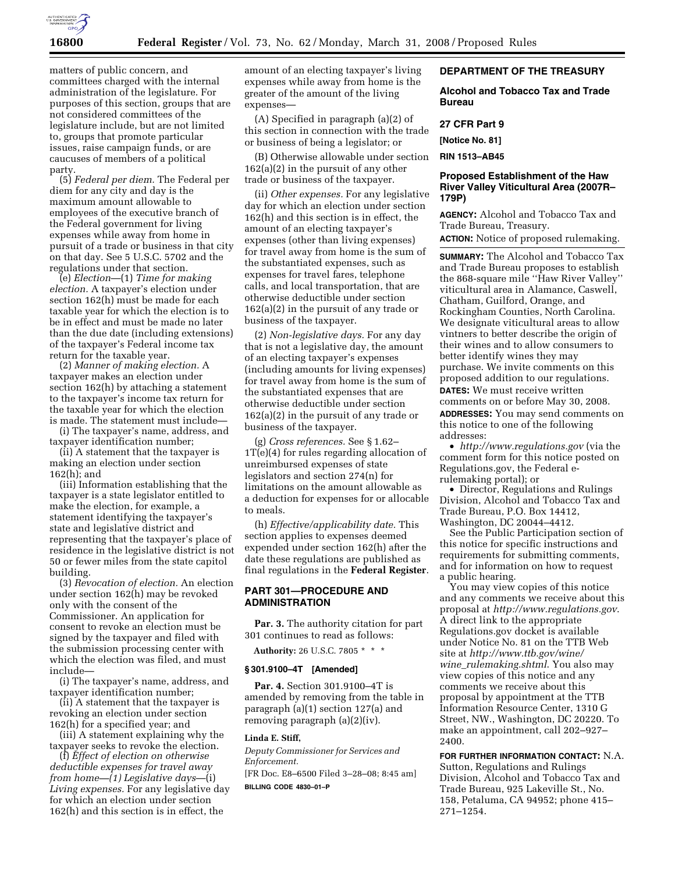

matters of public concern, and committees charged with the internal administration of the legislature. For purposes of this section, groups that are not considered committees of the legislature include, but are not limited to, groups that promote particular issues, raise campaign funds, or are caucuses of members of a political party.

(5) *Federal per diem.* The Federal per diem for any city and day is the maximum amount allowable to employees of the executive branch of the Federal government for living expenses while away from home in pursuit of a trade or business in that city on that day. See 5 U.S.C. 5702 and the regulations under that section.

(e) *Election*—(1) *Time for making election.* A taxpayer's election under section 162(h) must be made for each taxable year for which the election is to be in effect and must be made no later than the due date (including extensions) of the taxpayer's Federal income tax return for the taxable year.

(2) *Manner of making election.* A taxpayer makes an election under section 162(h) by attaching a statement to the taxpayer's income tax return for the taxable year for which the election is made. The statement must include—

(i) The taxpayer's name, address, and taxpayer identification number;

(ii) A statement that the taxpayer is making an election under section 162(h); and

(iii) Information establishing that the taxpayer is a state legislator entitled to make the election, for example, a statement identifying the taxpayer's state and legislative district and representing that the taxpayer's place of residence in the legislative district is not 50 or fewer miles from the state capitol building.

(3) *Revocation of election.* An election under section 162(h) may be revoked only with the consent of the Commissioner. An application for consent to revoke an election must be signed by the taxpayer and filed with the submission processing center with which the election was filed, and must include—

(i) The taxpayer's name, address, and taxpayer identification number;

(ii) A statement that the taxpayer is revoking an election under section 162(h) for a specified year; and

(iii) A statement explaining why the taxpayer seeks to revoke the election.

(f) *Effect of election on otherwise deductible expenses for travel away from home—(1) Legislative days*—(i) *Living expenses.* For any legislative day for which an election under section 162(h) and this section is in effect, the

amount of an electing taxpayer's living expenses while away from home is the greater of the amount of the living expenses—

(A) Specified in paragraph (a)(2) of this section in connection with the trade or business of being a legislator; or

(B) Otherwise allowable under section 162(a)(2) in the pursuit of any other trade or business of the taxpayer.

(ii) *Other expenses.* For any legislative day for which an election under section 162(h) and this section is in effect, the amount of an electing taxpayer's expenses (other than living expenses) for travel away from home is the sum of the substantiated expenses, such as expenses for travel fares, telephone calls, and local transportation, that are otherwise deductible under section 162(a)(2) in the pursuit of any trade or business of the taxpayer.

(2) *Non-legislative days.* For any day that is not a legislative day, the amount of an electing taxpayer's expenses (including amounts for living expenses) for travel away from home is the sum of the substantiated expenses that are otherwise deductible under section 162(a)(2) in the pursuit of any trade or business of the taxpayer.

(g) *Cross references.* See § 1.62– 1T(e)(4) for rules regarding allocation of unreimbursed expenses of state legislators and section 274(n) for limitations on the amount allowable as a deduction for expenses for or allocable to meals.

(h) *Effective/applicability date.* This section applies to expenses deemed expended under section 162(h) after the date these regulations are published as final regulations in the **Federal Register**.

## **PART 301—PROCEDURE AND ADMINISTRATION**

**Par. 3.** The authority citation for part 301 continues to read as follows:

**Authority:** 26 U.S.C. 7805 \* \* \*

#### **§ 301.9100–4T [Amended]**

**Par. 4.** Section 301.9100–4T is amended by removing from the table in paragraph (a)(1) section 127(a) and removing paragraph (a)(2)(iv).

## **Linda E. Stiff,**

*Deputy Commissioner for Services and Enforcement.*  [FR Doc. E8–6500 Filed 3–28–08; 8:45 am]

**BILLING CODE 4830–01–P** 

## **DEPARTMENT OF THE TREASURY**

**Alcohol and Tobacco Tax and Trade Bureau** 

#### **27 CFR Part 9**

**[Notice No. 81]** 

**RIN 1513–AB45** 

## **Proposed Establishment of the Haw River Valley Viticultural Area (2007R– 179P)**

**AGENCY:** Alcohol and Tobacco Tax and Trade Bureau, Treasury. **ACTION:** Notice of proposed rulemaking.

**SUMMARY:** The Alcohol and Tobacco Tax and Trade Bureau proposes to establish the 868-square mile ''Haw River Valley'' viticultural area in Alamance, Caswell, Chatham, Guilford, Orange, and Rockingham Counties, North Carolina. We designate viticultural areas to allow vintners to better describe the origin of their wines and to allow consumers to better identify wines they may purchase. We invite comments on this proposed addition to our regulations. **DATES:** We must receive written comments on or before May 30, 2008. **ADDRESSES:** You may send comments on this notice to one of the following addresses:

• *http://www.regulations.gov* (via the comment form for this notice posted on Regulations.gov, the Federal erulemaking portal); or

• Director, Regulations and Rulings Division, Alcohol and Tobacco Tax and Trade Bureau, P.O. Box 14412, Washington, DC 20044–4412.

See the Public Participation section of this notice for specific instructions and requirements for submitting comments, and for information on how to request a public hearing.

You may view copies of this notice and any comments we receive about this proposal at *http://www.regulations.gov*. A direct link to the appropriate Regulations.gov docket is available under Notice No. 81 on the TTB Web site at *http://www.ttb.gov/wine/ wine*\_*rulemaking.shtml*. You also may view copies of this notice and any comments we receive about this proposal by appointment at the TTB Information Resource Center, 1310 G Street, NW., Washington, DC 20220. To make an appointment, call 202–927– 2400.

**FOR FURTHER INFORMATION CONTACT:** N.A. Sutton, Regulations and Rulings Division, Alcohol and Tobacco Tax and Trade Bureau, 925 Lakeville St., No. 158, Petaluma, CA 94952; phone 415– 271–1254.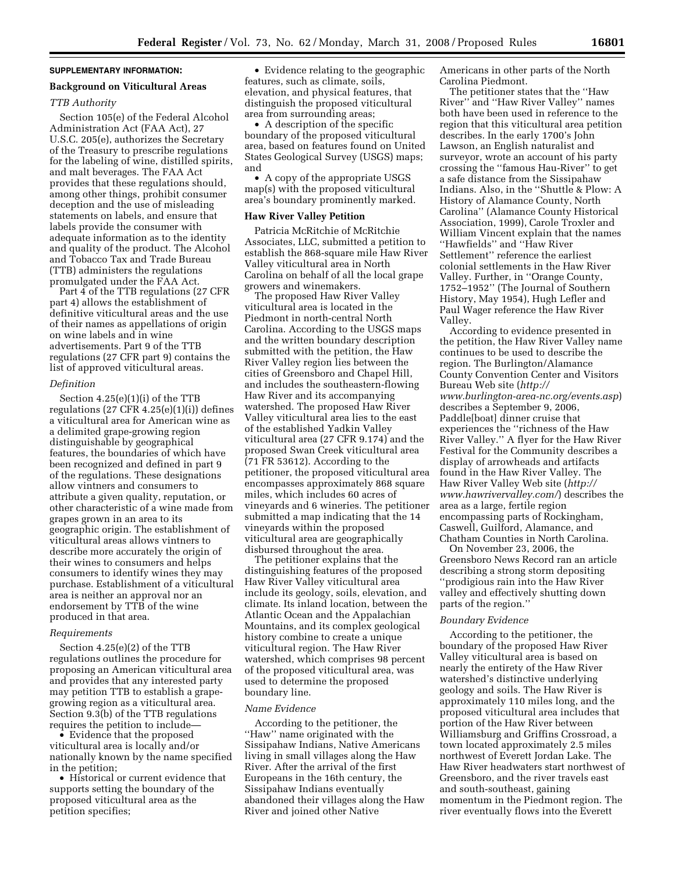#### **SUPPLEMENTARY INFORMATION:**

## **Background on Viticultural Areas**

#### *TTB Authority*

Section 105(e) of the Federal Alcohol Administration Act (FAA Act), 27 U.S.C. 205(e), authorizes the Secretary of the Treasury to prescribe regulations for the labeling of wine, distilled spirits, and malt beverages. The FAA Act provides that these regulations should, among other things, prohibit consumer deception and the use of misleading statements on labels, and ensure that labels provide the consumer with adequate information as to the identity and quality of the product. The Alcohol and Tobacco Tax and Trade Bureau (TTB) administers the regulations promulgated under the FAA Act.

Part 4 of the TTB regulations (27 CFR part 4) allows the establishment of definitive viticultural areas and the use of their names as appellations of origin on wine labels and in wine advertisements. Part 9 of the TTB regulations (27 CFR part 9) contains the list of approved viticultural areas.

#### *Definition*

Section 4.25(e)(1)(i) of the TTB regulations (27 CFR 4.25(e)(1)(i)) defines a viticultural area for American wine as a delimited grape-growing region distinguishable by geographical features, the boundaries of which have been recognized and defined in part 9 of the regulations. These designations allow vintners and consumers to attribute a given quality, reputation, or other characteristic of a wine made from grapes grown in an area to its geographic origin. The establishment of viticultural areas allows vintners to describe more accurately the origin of their wines to consumers and helps consumers to identify wines they may purchase. Establishment of a viticultural area is neither an approval nor an endorsement by TTB of the wine produced in that area.

#### *Requirements*

Section 4.25(e)(2) of the TTB regulations outlines the procedure for proposing an American viticultural area and provides that any interested party may petition TTB to establish a grapegrowing region as a viticultural area. Section 9.3(b) of the TTB regulations requires the petition to include—

• Evidence that the proposed viticultural area is locally and/or nationally known by the name specified in the petition;

• Historical or current evidence that supports setting the boundary of the proposed viticultural area as the petition specifies;

• Evidence relating to the geographic features, such as climate, soils, elevation, and physical features, that distinguish the proposed viticultural area from surrounding areas;

• A description of the specific boundary of the proposed viticultural area, based on features found on United States Geological Survey (USGS) maps; and

• A copy of the appropriate USGS map(s) with the proposed viticultural area's boundary prominently marked.

#### **Haw River Valley Petition**

Patricia McRitchie of McRitchie Associates, LLC, submitted a petition to establish the 868-square mile Haw River Valley viticultural area in North Carolina on behalf of all the local grape growers and winemakers.

The proposed Haw River Valley viticultural area is located in the Piedmont in north-central North Carolina. According to the USGS maps and the written boundary description submitted with the petition, the Haw River Valley region lies between the cities of Greensboro and Chapel Hill, and includes the southeastern-flowing Haw River and its accompanying watershed. The proposed Haw River Valley viticultural area lies to the east of the established Yadkin Valley viticultural area (27 CFR 9.174) and the proposed Swan Creek viticultural area (71 FR 53612). According to the petitioner, the proposed viticultural area encompasses approximately 868 square miles, which includes 60 acres of vineyards and 6 wineries. The petitioner submitted a map indicating that the 14 vineyards within the proposed viticultural area are geographically disbursed throughout the area.

The petitioner explains that the distinguishing features of the proposed Haw River Valley viticultural area include its geology, soils, elevation, and climate. Its inland location, between the Atlantic Ocean and the Appalachian Mountains, and its complex geological history combine to create a unique viticultural region. The Haw River watershed, which comprises 98 percent of the proposed viticultural area, was used to determine the proposed boundary line.

#### *Name Evidence*

According to the petitioner, the ''Haw'' name originated with the Sissipahaw Indians, Native Americans living in small villages along the Haw River. After the arrival of the first Europeans in the 16th century, the Sissipahaw Indians eventually abandoned their villages along the Haw River and joined other Native

Americans in other parts of the North Carolina Piedmont.

The petitioner states that the ''Haw River'' and ''Haw River Valley'' names both have been used in reference to the region that this viticultural area petition describes. In the early 1700's John Lawson, an English naturalist and surveyor, wrote an account of his party crossing the ''famous Hau-River'' to get a safe distance from the Sissipahaw Indians. Also, in the ''Shuttle & Plow: A History of Alamance County, North Carolina'' (Alamance County Historical Association, 1999), Carole Troxler and William Vincent explain that the names ''Hawfields'' and ''Haw River Settlement'' reference the earliest colonial settlements in the Haw River Valley. Further, in ''Orange County, 1752–1952'' (The Journal of Southern History, May 1954), Hugh Lefler and Paul Wager reference the Haw River Valley.

According to evidence presented in the petition, the Haw River Valley name continues to be used to describe the region. The Burlington/Alamance County Convention Center and Visitors Bureau Web site (*http:// www.burlington-area-nc.org/events.asp*) describes a September 9, 2006, Paddle[boat] dinner cruise that experiences the ''richness of the Haw River Valley.'' A flyer for the Haw River Festival for the Community describes a display of arrowheads and artifacts found in the Haw River Valley. The Haw River Valley Web site (*http:// www.hawrivervalley.com/*) describes the area as a large, fertile region encompassing parts of Rockingham, Caswell, Guilford, Alamance, and Chatham Counties in North Carolina.

On November 23, 2006, the Greensboro News Record ran an article describing a strong storm depositing ''prodigious rain into the Haw River valley and effectively shutting down parts of the region.''

#### *Boundary Evidence*

According to the petitioner, the boundary of the proposed Haw River Valley viticultural area is based on nearly the entirety of the Haw River watershed's distinctive underlying geology and soils. The Haw River is approximately 110 miles long, and the proposed viticultural area includes that portion of the Haw River between Williamsburg and Griffins Crossroad, a town located approximately 2.5 miles northwest of Everett Jordan Lake. The Haw River headwaters start northwest of Greensboro, and the river travels east and south-southeast, gaining momentum in the Piedmont region. The river eventually flows into the Everett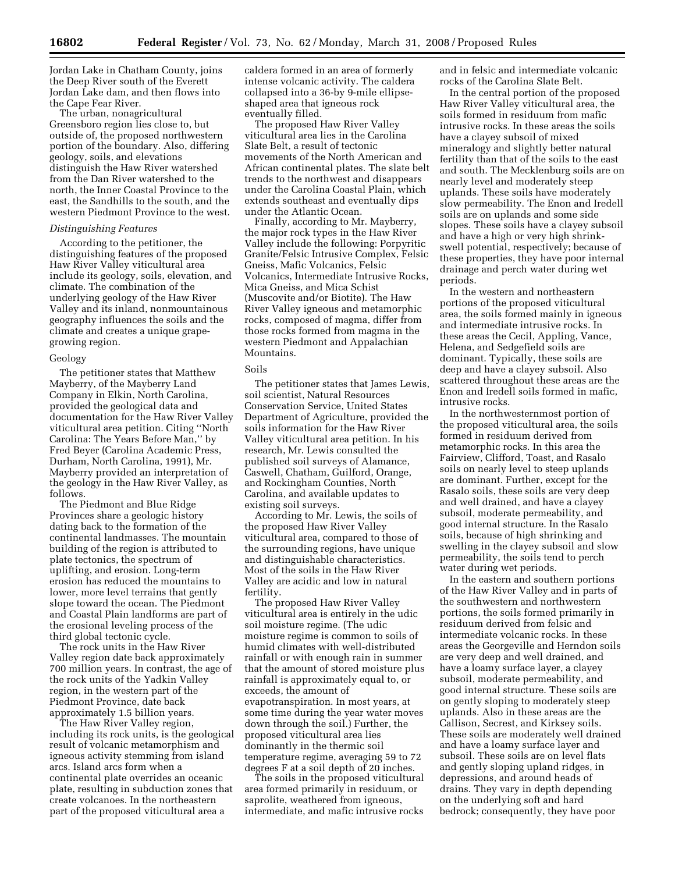Jordan Lake in Chatham County, joins the Deep River south of the Everett Jordan Lake dam, and then flows into the Cape Fear River.

The urban, nonagricultural Greensboro region lies close to, but outside of, the proposed northwestern portion of the boundary. Also, differing geology, soils, and elevations distinguish the Haw River watershed from the Dan River watershed to the north, the Inner Coastal Province to the east, the Sandhills to the south, and the western Piedmont Province to the west.

## *Distinguishing Features*

According to the petitioner, the distinguishing features of the proposed Haw River Valley viticultural area include its geology, soils, elevation, and climate. The combination of the underlying geology of the Haw River Valley and its inland, nonmountainous geography influences the soils and the climate and creates a unique grapegrowing region.

#### Geology

The petitioner states that Matthew Mayberry, of the Mayberry Land Company in Elkin, North Carolina, provided the geological data and documentation for the Haw River Valley viticultural area petition. Citing ''North Carolina: The Years Before Man,'' by Fred Beyer (Carolina Academic Press, Durham, North Carolina, 1991), Mr. Mayberry provided an interpretation of the geology in the Haw River Valley, as follows.

The Piedmont and Blue Ridge Provinces share a geologic history dating back to the formation of the continental landmasses. The mountain building of the region is attributed to plate tectonics, the spectrum of uplifting, and erosion. Long-term erosion has reduced the mountains to lower, more level terrains that gently slope toward the ocean. The Piedmont and Coastal Plain landforms are part of the erosional leveling process of the third global tectonic cycle.

The rock units in the Haw River Valley region date back approximately 700 million years. In contrast, the age of the rock units of the Yadkin Valley region, in the western part of the Piedmont Province, date back approximately 1.5 billion years.

The Haw River Valley region, including its rock units, is the geological result of volcanic metamorphism and igneous activity stemming from island arcs. Island arcs form when a continental plate overrides an oceanic plate, resulting in subduction zones that create volcanoes. In the northeastern part of the proposed viticultural area a

caldera formed in an area of formerly intense volcanic activity. The caldera collapsed into a 36-by 9-mile ellipseshaped area that igneous rock eventually filled.

The proposed Haw River Valley viticultural area lies in the Carolina Slate Belt, a result of tectonic movements of the North American and African continental plates. The slate belt trends to the northwest and disappears under the Carolina Coastal Plain, which extends southeast and eventually dips under the Atlantic Ocean.

Finally, according to Mr. Mayberry, the major rock types in the Haw River Valley include the following: Porpyritic Granite/Felsic Intrusive Complex, Felsic Gneiss, Mafic Volcanics, Felsic Volcanics, Intermediate Intrusive Rocks, Mica Gneiss, and Mica Schist (Muscovite and/or Biotite). The Haw River Valley igneous and metamorphic rocks, composed of magma, differ from those rocks formed from magma in the western Piedmont and Appalachian Mountains.

## Soils

The petitioner states that James Lewis, soil scientist, Natural Resources Conservation Service, United States Department of Agriculture, provided the soils information for the Haw River Valley viticultural area petition. In his research, Mr. Lewis consulted the published soil surveys of Alamance, Caswell, Chatham, Guilford, Orange, and Rockingham Counties, North Carolina, and available updates to existing soil surveys.

According to Mr. Lewis, the soils of the proposed Haw River Valley viticultural area, compared to those of the surrounding regions, have unique and distinguishable characteristics. Most of the soils in the Haw River Valley are acidic and low in natural fertility.

The proposed Haw River Valley viticultural area is entirely in the udic soil moisture regime. (The udic moisture regime is common to soils of humid climates with well-distributed rainfall or with enough rain in summer that the amount of stored moisture plus rainfall is approximately equal to, or exceeds, the amount of evapotranspiration. In most years, at some time during the year water moves down through the soil.) Further, the proposed viticultural area lies dominantly in the thermic soil temperature regime, averaging 59 to 72 degrees F at a soil depth of 20 inches.

The soils in the proposed viticultural area formed primarily in residuum, or saprolite, weathered from igneous, intermediate, and mafic intrusive rocks and in felsic and intermediate volcanic rocks of the Carolina Slate Belt.

In the central portion of the proposed Haw River Valley viticultural area, the soils formed in residuum from mafic intrusive rocks. In these areas the soils have a clayey subsoil of mixed mineralogy and slightly better natural fertility than that of the soils to the east and south. The Mecklenburg soils are on nearly level and moderately steep uplands. These soils have moderately slow permeability. The Enon and Iredell soils are on uplands and some side slopes. These soils have a clayey subsoil and have a high or very high shrinkswell potential, respectively; because of these properties, they have poor internal drainage and perch water during wet periods.

In the western and northeastern portions of the proposed viticultural area, the soils formed mainly in igneous and intermediate intrusive rocks. In these areas the Cecil, Appling, Vance, Helena, and Sedgefield soils are dominant. Typically, these soils are deep and have a clayey subsoil. Also scattered throughout these areas are the Enon and Iredell soils formed in mafic, intrusive rocks.

In the northwesternmost portion of the proposed viticultural area, the soils formed in residuum derived from metamorphic rocks. In this area the Fairview, Clifford, Toast, and Rasalo soils on nearly level to steep uplands are dominant. Further, except for the Rasalo soils, these soils are very deep and well drained, and have a clayey subsoil, moderate permeability, and good internal structure. In the Rasalo soils, because of high shrinking and swelling in the clayey subsoil and slow permeability, the soils tend to perch water during wet periods.

In the eastern and southern portions of the Haw River Valley and in parts of the southwestern and northwestern portions, the soils formed primarily in residuum derived from felsic and intermediate volcanic rocks. In these areas the Georgeville and Herndon soils are very deep and well drained, and have a loamy surface layer, a clayey subsoil, moderate permeability, and good internal structure. These soils are on gently sloping to moderately steep uplands. Also in these areas are the Callison, Secrest, and Kirksey soils. These soils are moderately well drained and have a loamy surface layer and subsoil. These soils are on level flats and gently sloping upland ridges, in depressions, and around heads of drains. They vary in depth depending on the underlying soft and hard bedrock; consequently, they have poor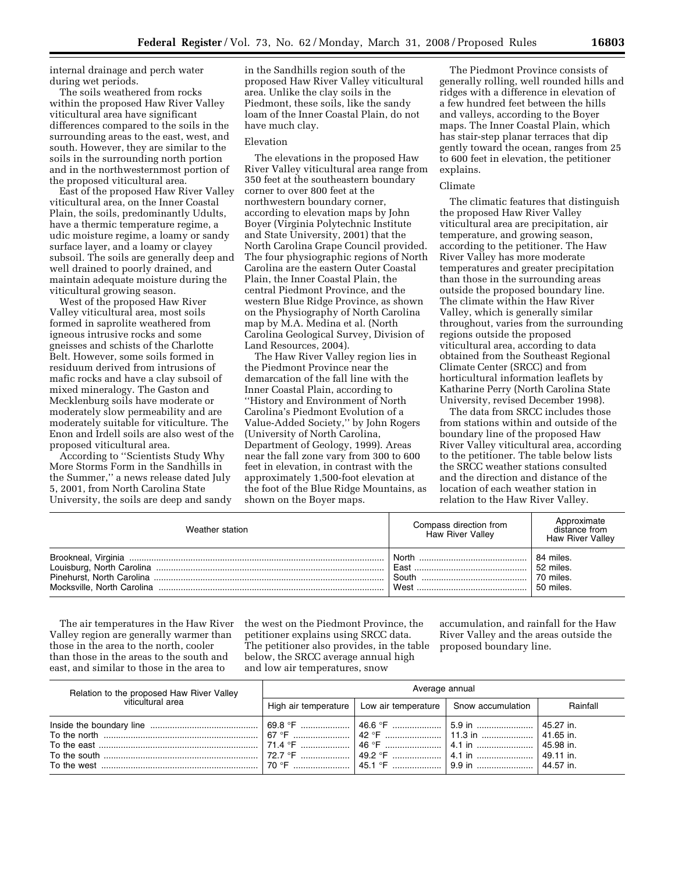internal drainage and perch water during wet periods.

The soils weathered from rocks within the proposed Haw River Valley viticultural area have significant differences compared to the soils in the surrounding areas to the east, west, and south. However, they are similar to the soils in the surrounding north portion and in the northwesternmost portion of the proposed viticultural area.

East of the proposed Haw River Valley viticultural area, on the Inner Coastal Plain, the soils, predominantly Udults, have a thermic temperature regime, a udic moisture regime, a loamy or sandy surface layer, and a loamy or clayey subsoil. The soils are generally deep and well drained to poorly drained, and maintain adequate moisture during the viticultural growing season.

West of the proposed Haw River Valley viticultural area, most soils formed in saprolite weathered from igneous intrusive rocks and some gneisses and schists of the Charlotte Belt. However, some soils formed in residuum derived from intrusions of mafic rocks and have a clay subsoil of mixed mineralogy. The Gaston and Mecklenburg soils have moderate or moderately slow permeability and are moderately suitable for viticulture. The Enon and Irdell soils are also west of the proposed viticultural area.

According to ''Scientists Study Why More Storms Form in the Sandhills in the Summer,'' a news release dated July 5, 2001, from North Carolina State University, the soils are deep and sandy

in the Sandhills region south of the proposed Haw River Valley viticultural area. Unlike the clay soils in the Piedmont, these soils, like the sandy loam of the Inner Coastal Plain, do not have much clay.

## Elevation

The elevations in the proposed Haw River Valley viticultural area range from 350 feet at the southeastern boundary corner to over 800 feet at the northwestern boundary corner, according to elevation maps by John Boyer (Virginia Polytechnic Institute and State University, 2001) that the North Carolina Grape Council provided. The four physiographic regions of North Carolina are the eastern Outer Coastal Plain, the Inner Coastal Plain, the central Piedmont Province, and the western Blue Ridge Province, as shown on the Physiography of North Carolina map by M.A. Medina et al. (North Carolina Geological Survey, Division of Land Resources, 2004).

The Haw River Valley region lies in the Piedmont Province near the demarcation of the fall line with the Inner Coastal Plain, according to ''History and Environment of North Carolina's Piedmont Evolution of a Value-Added Society,'' by John Rogers (University of North Carolina, Department of Geology, 1999). Areas near the fall zone vary from 300 to 600 feet in elevation, in contrast with the approximately 1,500-foot elevation at the foot of the Blue Ridge Mountains, as shown on the Boyer maps.

The Piedmont Province consists of generally rolling, well rounded hills and ridges with a difference in elevation of a few hundred feet between the hills and valleys, according to the Boyer maps. The Inner Coastal Plain, which has stair-step planar terraces that dip gently toward the ocean, ranges from 25 to 600 feet in elevation, the petitioner explains.

#### Climate

The climatic features that distinguish the proposed Haw River Valley viticultural area are precipitation, air temperature, and growing season, according to the petitioner. The Haw River Valley has more moderate temperatures and greater precipitation than those in the surrounding areas outside the proposed boundary line. The climate within the Haw River Valley, which is generally similar throughout, varies from the surrounding regions outside the proposed viticultural area, according to data obtained from the Southeast Regional Climate Center (SRCC) and from horticultural information leaflets by Katharine Perry (North Carolina State University, revised December 1998).

The data from SRCC includes those from stations within and outside of the boundary line of the proposed Haw River Valley viticultural area, according to the petitioner. The table below lists the SRCC weather stations consulted and the direction and distance of the location of each weather station in relation to the Haw River Valley.

| Weather station | Compass direction from<br><b>Haw River Valley</b> | Approximate<br>distance from<br><b>Haw River Valley</b> |
|-----------------|---------------------------------------------------|---------------------------------------------------------|
|                 |                                                   | 84 miles.                                               |
|                 |                                                   | 52 miles.                                               |
|                 |                                                   | 70 miles.                                               |
|                 |                                                   | 50 miles.                                               |

The air temperatures in the Haw River Valley region are generally warmer than those in the area to the north, cooler than those in the areas to the south and east, and similar to those in the area to

the west on the Piedmont Province, the petitioner explains using SRCC data. The petitioner also provides, in the table below, the SRCC average annual high and low air temperatures, snow

accumulation, and rainfall for the Haw River Valley and the areas outside the proposed boundary line.

| Relation to the proposed Haw River Valley<br>viticultural area | Average annual |                                                                 |  |          |
|----------------------------------------------------------------|----------------|-----------------------------------------------------------------|--|----------|
|                                                                |                | High air temperature   Low air temperature   Snow accumulation  |  | Rainfall |
|                                                                |                | _70 °F ……………………   45.1 °F …………………   9.9 in ……………………   44.57 in. |  |          |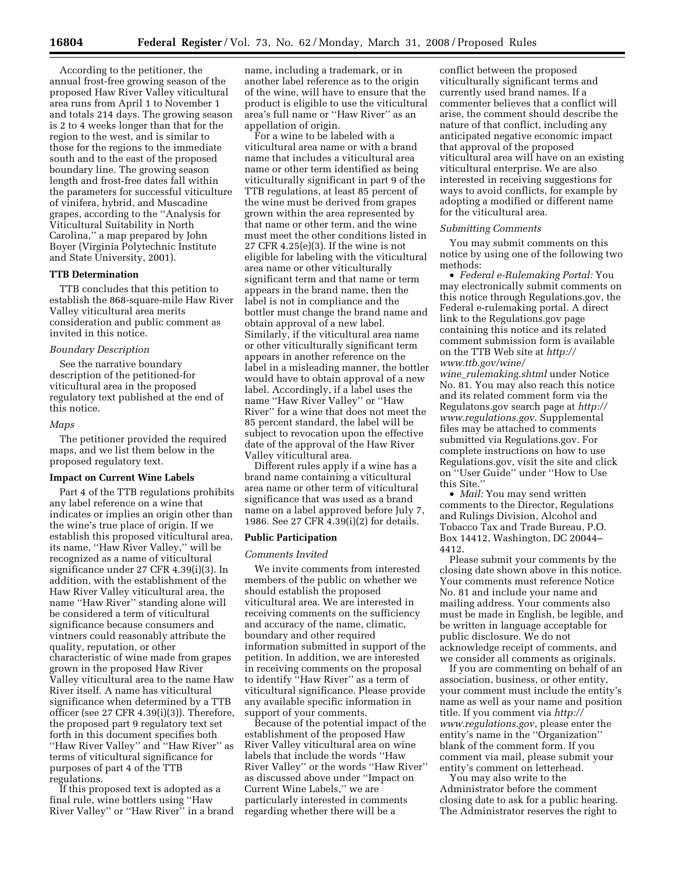According to the petitioner, the annual frost-free growing season of the proposed Haw River Valley viticultural area runs from April 1 to November 1 and totals 214 days. The growing season is 2 to 4 weeks longer than that for the region to the west, and is similar to those for the regions to the immediate south and to the east of the proposed boundary line. The growing season length and frost-free dates fall within the parameters for successful viticulture of vinifera, hybrid, and Muscadine grapes, according to the ''Analysis for Viticultural Suitability in North Carolina,'' a map prepared by John Boyer (Virginia Polytechnic Institute and State University, 2001).

## **TTB Determination**

TTB concludes that this petition to establish the 868-square-mile Haw River Valley viticultural area merits consideration and public comment as invited in this notice.

## *Boundary Description*

See the narrative boundary description of the petitioned-for viticultural area in the proposed regulatory text published at the end of this notice.

## *Maps*

The petitioner provided the required maps, and we list them below in the proposed regulatory text.

#### **Impact on Current Wine Labels**

Part 4 of the TTB regulations prohibits any label reference on a wine that indicates or implies an origin other than the wine's true place of origin. If we establish this proposed viticultural area, its name, ''Haw River Valley,'' will be recognized as a name of viticultural significance under 27 CFR 4.39(i)(3). In addition, with the establishment of the Haw River Valley viticultural area, the name ''Haw River'' standing alone will be considered a term of viticultural significance because consumers and vintners could reasonably attribute the quality, reputation, or other characteristic of wine made from grapes grown in the proposed Haw River Valley viticultural area to the name Haw River itself. A name has viticultural significance when determined by a TTB officer (see 27 CFR 4.39(i)(3)). Therefore, the proposed part 9 regulatory text set forth in this document specifies both ''Haw River Valley'' and ''Haw River'' as terms of viticultural significance for purposes of part 4 of the TTB regulations.

If this proposed text is adopted as a final rule, wine bottlers using ''Haw River Valley'' or ''Haw River'' in a brand name, including a trademark, or in another label reference as to the origin of the wine, will have to ensure that the product is eligible to use the viticultural area's full name or ''Haw River'' as an appellation of origin.

For a wine to be labeled with a viticultural area name or with a brand name that includes a viticultural area name or other term identified as being viticulturally significant in part 9 of the TTB regulations, at least 85 percent of the wine must be derived from grapes grown within the area represented by that name or other term, and the wine must meet the other conditions listed in 27 CFR 4.25(e)(3). If the wine is not eligible for labeling with the viticultural area name or other viticulturally significant term and that name or term appears in the brand name, then the label is not in compliance and the bottler must change the brand name and obtain approval of a new label. Similarly, if the viticultural area name or other viticulturally significant term appears in another reference on the label in a misleading manner, the bottler would have to obtain approval of a new label. Accordingly, if a label uses the name ''Haw River Valley'' or ''Haw River'' for a wine that does not meet the 85 percent standard, the label will be subject to revocation upon the effective date of the approval of the Haw River Valley viticultural area.

Different rules apply if a wine has a brand name containing a viticultural area name or other term of viticultural significance that was used as a brand name on a label approved before July 7, 1986. See 27 CFR 4.39(i)(2) for details.

#### **Public Participation**

#### *Comments Invited*

We invite comments from interested members of the public on whether we should establish the proposed viticultural area. We are interested in receiving comments on the sufficiency and accuracy of the name, climatic, boundary and other required information submitted in support of the petition. In addition, we are interested in receiving comments on the proposal to identify ''Haw River'' as a term of viticultural significance. Please provide any available specific information in support of your comments.

Because of the potential impact of the establishment of the proposed Haw River Valley viticultural area on wine labels that include the words ''Haw River Valley'' or the words ''Haw River'' as discussed above under ''Impact on Current Wine Labels,'' we are particularly interested in comments regarding whether there will be a

conflict between the proposed viticulturally significant terms and currently used brand names. If a commenter believes that a conflict will arise, the comment should describe the nature of that conflict, including any anticipated negative economic impact that approval of the proposed viticultural area will have on an existing viticultural enterprise. We are also interested in receiving suggestions for ways to avoid conflicts, for example by adopting a modified or different name for the viticultural area.

## *Submitting Comments*

You may submit comments on this notice by using one of the following two methods:

• *Federal e-Rulemaking Portal:* You may electronically submit comments on this notice through Regulations.gov, the Federal e-rulemaking portal. A direct link to the Regulations.gov page containing this notice and its related comment submission form is available on the TTB Web site at *http:// www.ttb.gov/wine/* 

*wine*\_*rulemaking.shtml* under Notice No. 81. You may also reach this notice and its related comment form via the Regulatons.gov search page at *http:// www.regulations.gov*. Supplemental files may be attached to comments submitted via Regulations.gov. For complete instructions on how to use Regulations.gov, visit the site and click on ''User Guide'' under ''How to Use this Site.''

• *Mail:* You may send written comments to the Director, Regulations and Rulings Division, Alcohol and Tobacco Tax and Trade Bureau, P.O. Box 14412, Washington, DC 20044– 4412.

Please submit your comments by the closing date shown above in this notice. Your comments must reference Notice No. 81 and include your name and mailing address. Your comments also must be made in English, be legible, and be written in language acceptable for public disclosure. We do not acknowledge receipt of comments, and we consider all comments as originals.

If you are commenting on behalf of an association, business, or other entity, your comment must include the entity's name as well as your name and position title. If you comment via *http:// www.regulations.gov*, please enter the entity's name in the ''Organization'' blank of the comment form. If you comment via mail, please submit your entity's comment on letterhead.

You may also write to the Administrator before the comment closing date to ask for a public hearing. The Administrator reserves the right to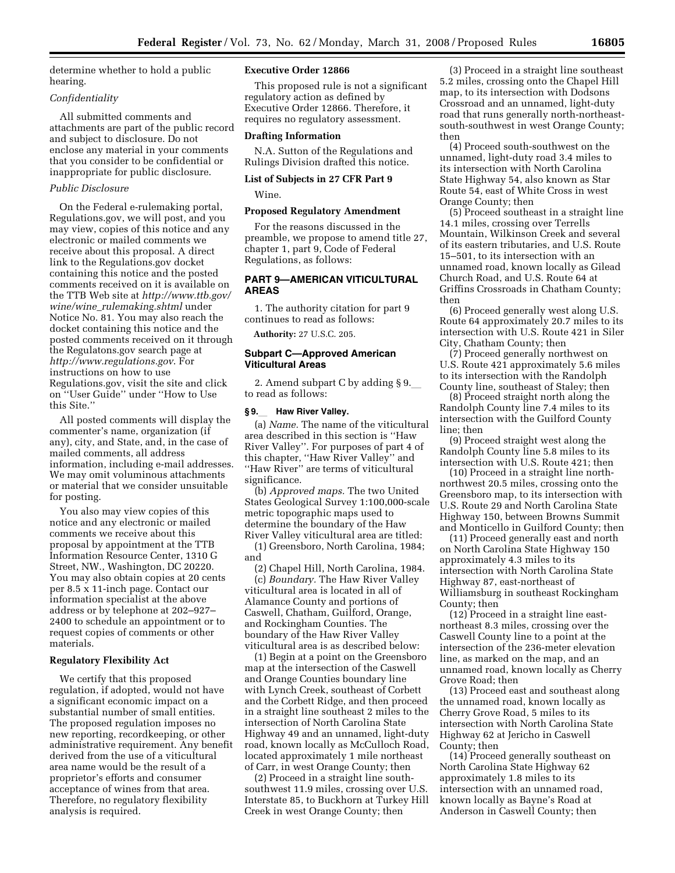determine whether to hold a public hearing.

## *Confidentiality*

All submitted comments and attachments are part of the public record and subject to disclosure. Do not enclose any material in your comments that you consider to be confidential or inappropriate for public disclosure.

#### *Public Disclosure*

On the Federal e-rulemaking portal, Regulations.gov, we will post, and you may view, copies of this notice and any electronic or mailed comments we receive about this proposal. A direct link to the Regulations.gov docket containing this notice and the posted comments received on it is available on the TTB Web site at *http://www.ttb.gov/ wine/wine*\_*rulemaking.shtml* under Notice No. 81. You may also reach the docket containing this notice and the posted comments received on it through the Regulatons.gov search page at *http://www.regulations.gov*. For instructions on how to use Regulations.gov, visit the site and click on ''User Guide'' under ''How to Use this Site.''

All posted comments will display the commenter's name, organization (if any), city, and State, and, in the case of mailed comments, all address information, including e-mail addresses. We may omit voluminous attachments or material that we consider unsuitable for posting.

You also may view copies of this notice and any electronic or mailed comments we receive about this proposal by appointment at the TTB Information Resource Center, 1310 G Street, NW., Washington, DC 20220. You may also obtain copies at 20 cents per 8.5 x 11-inch page. Contact our information specialist at the above address or by telephone at 202–927– 2400 to schedule an appointment or to request copies of comments or other materials.

## **Regulatory Flexibility Act**

We certify that this proposed regulation, if adopted, would not have a significant economic impact on a substantial number of small entities. The proposed regulation imposes no new reporting, recordkeeping, or other administrative requirement. Any benefit derived from the use of a viticultural area name would be the result of a proprietor's efforts and consumer acceptance of wines from that area. Therefore, no regulatory flexibility analysis is required.

#### **Executive Order 12866**

This proposed rule is not a significant regulatory action as defined by Executive Order 12866. Therefore, it requires no regulatory assessment.

#### **Drafting Information**

N.A. Sutton of the Regulations and Rulings Division drafted this notice.

# **List of Subjects in 27 CFR Part 9**

Wine.

## **Proposed Regulatory Amendment**

For the reasons discussed in the preamble, we propose to amend title 27, chapter 1, part 9, Code of Federal Regulations, as follows:

## **PART 9—AMERICAN VITICULTURAL AREAS**

1. The authority citation for part 9 continues to read as follows:

**Authority:** 27 U.S.C. 205.

#### **Subpart C—Approved American Viticultural Areas**

2. Amend subpart C by adding  $\S$  9. to read as follows:

#### **§ 9.**l **Haw River Valley.**

(a) *Name.* The name of the viticultural area described in this section is ''Haw River Valley''. For purposes of part 4 of this chapter, ''Haw River Valley'' and ''Haw River'' are terms of viticultural significance.

(b) *Approved maps.* The two United States Geological Survey 1:100,000-scale metric topographic maps used to determine the boundary of the Haw River Valley viticultural area are titled:

(1) Greensboro, North Carolina, 1984; and

(2) Chapel Hill, North Carolina, 1984.

(c) *Boundary.* The Haw River Valley viticultural area is located in all of Alamance County and portions of Caswell, Chatham, Guilford, Orange, and Rockingham Counties. The boundary of the Haw River Valley viticultural area is as described below:

(1) Begin at a point on the Greensboro map at the intersection of the Caswell and Orange Counties boundary line with Lynch Creek, southeast of Corbett and the Corbett Ridge, and then proceed in a straight line southeast 2 miles to the intersection of North Carolina State Highway 49 and an unnamed, light-duty road, known locally as McCulloch Road, located approximately 1 mile northeast of Carr, in west Orange County; then

(2) Proceed in a straight line southsouthwest 11.9 miles, crossing over U.S. Interstate 85, to Buckhorn at Turkey Hill Creek in west Orange County; then

(3) Proceed in a straight line southeast 5.2 miles, crossing onto the Chapel Hill map, to its intersection with Dodsons Crossroad and an unnamed, light-duty road that runs generally north-northeastsouth-southwest in west Orange County; then

(4) Proceed south-southwest on the unnamed, light-duty road 3.4 miles to its intersection with North Carolina State Highway 54, also known as Star Route 54, east of White Cross in west Orange County; then

(5) Proceed southeast in a straight line 14.1 miles, crossing over Terrells Mountain, Wilkinson Creek and several of its eastern tributaries, and U.S. Route 15–501, to its intersection with an unnamed road, known locally as Gilead Church Road, and U.S. Route 64 at Griffins Crossroads in Chatham County; then

(6) Proceed generally west along U.S. Route 64 approximately 20.7 miles to its intersection with U.S. Route 421 in Siler City, Chatham County; then

(7) Proceed generally northwest on U.S. Route 421 approximately 5.6 miles to its intersection with the Randolph County line, southeast of Staley; then

(8) Proceed straight north along the Randolph County line 7.4 miles to its intersection with the Guilford County line; then

(9) Proceed straight west along the Randolph County line 5.8 miles to its intersection with U.S. Route 421; then

(10) Proceed in a straight line northnorthwest 20.5 miles, crossing onto the Greensboro map, to its intersection with U.S. Route 29 and North Carolina State Highway 150, between Browns Summit and Monticello in Guilford County; then

(11) Proceed generally east and north on North Carolina State Highway 150 approximately 4.3 miles to its intersection with North Carolina State Highway 87, east-northeast of Williamsburg in southeast Rockingham County; then

(12) Proceed in a straight line eastnortheast 8.3 miles, crossing over the Caswell County line to a point at the intersection of the 236-meter elevation line, as marked on the map, and an unnamed road, known locally as Cherry Grove Road; then

(13) Proceed east and southeast along the unnamed road, known locally as Cherry Grove Road, 5 miles to its intersection with North Carolina State Highway 62 at Jericho in Caswell County; then

(14) Proceed generally southeast on North Carolina State Highway 62 approximately 1.8 miles to its intersection with an unnamed road, known locally as Bayne's Road at Anderson in Caswell County; then